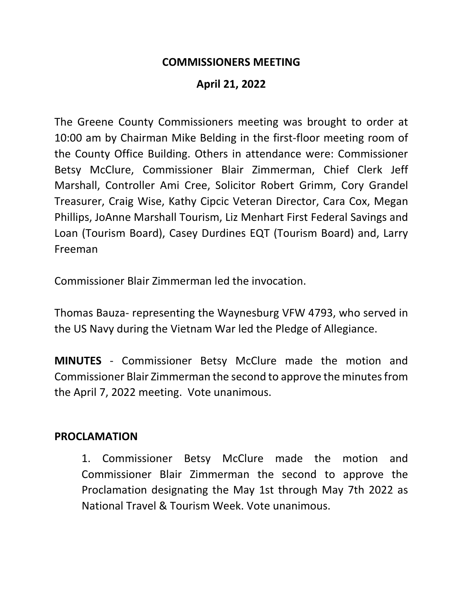### **COMMISSIONERS MEETING**

## **April 21, 2022**

The Greene County Commissioners meeting was brought to order at 10:00 am by Chairman Mike Belding in the first-floor meeting room of the County Office Building. Others in attendance were: Commissioner Betsy McClure, Commissioner Blair Zimmerman, Chief Clerk Jeff Marshall, Controller Ami Cree, Solicitor Robert Grimm, Cory Grandel Treasurer, Craig Wise, Kathy Cipcic Veteran Director, Cara Cox, Megan Phillips, JoAnne Marshall Tourism, Liz Menhart First Federal Savings and Loan (Tourism Board), Casey Durdines EQT (Tourism Board) and, Larry Freeman

Commissioner Blair Zimmerman led the invocation.

Thomas Bauza- representing the Waynesburg VFW 4793, who served in the US Navy during the Vietnam War led the Pledge of Allegiance.

**MINUTES** - Commissioner Betsy McClure made the motion and Commissioner Blair Zimmerman the second to approve the minutes from the April 7, 2022 meeting. Vote unanimous.

#### **PROCLAMATION**

1. Commissioner Betsy McClure made the motion and Commissioner Blair Zimmerman the second to approve the Proclamation designating the May 1st through May 7th 2022 as National Travel & Tourism Week. Vote unanimous.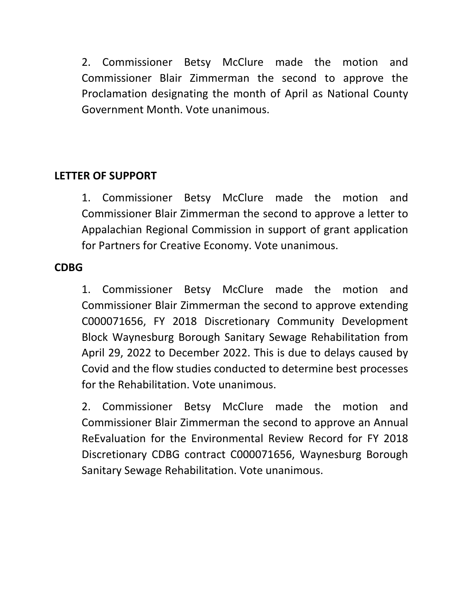2. Commissioner Betsy McClure made the motion and Commissioner Blair Zimmerman the second to approve the Proclamation designating the month of April as National County Government Month. Vote unanimous.

# **LETTER OF SUPPORT**

1. Commissioner Betsy McClure made the motion and Commissioner Blair Zimmerman the second to approve a letter to Appalachian Regional Commission in support of grant application for Partners for Creative Economy. Vote unanimous.

### **CDBG**

1. Commissioner Betsy McClure made the motion and Commissioner Blair Zimmerman the second to approve extending C000071656, FY 2018 Discretionary Community Development Block Waynesburg Borough Sanitary Sewage Rehabilitation from April 29, 2022 to December 2022. This is due to delays caused by Covid and the flow studies conducted to determine best processes for the Rehabilitation. Vote unanimous.

2. Commissioner Betsy McClure made the motion and Commissioner Blair Zimmerman the second to approve an Annual ReEvaluation for the Environmental Review Record for FY 2018 Discretionary CDBG contract C000071656, Waynesburg Borough Sanitary Sewage Rehabilitation. Vote unanimous.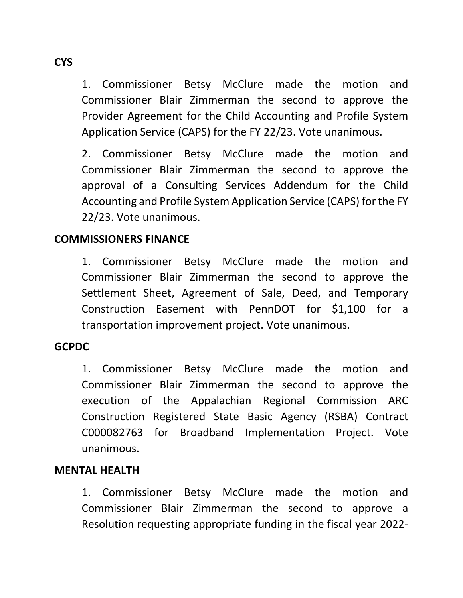1. Commissioner Betsy McClure made the motion and Commissioner Blair Zimmerman the second to approve the Provider Agreement for the Child Accounting and Profile System Application Service (CAPS) for the FY 22/23. Vote unanimous.

2. Commissioner Betsy McClure made the motion and Commissioner Blair Zimmerman the second to approve the approval of a Consulting Services Addendum for the Child Accounting and Profile System Application Service (CAPS) for the FY 22/23. Vote unanimous.

## **COMMISSIONERS FINANCE**

1. Commissioner Betsy McClure made the motion and Commissioner Blair Zimmerman the second to approve the Settlement Sheet, Agreement of Sale, Deed, and Temporary Construction Easement with PennDOT for \$1,100 for a transportation improvement project. Vote unanimous.

#### **GCPDC**

1. Commissioner Betsy McClure made the motion and Commissioner Blair Zimmerman the second to approve the execution of the Appalachian Regional Commission ARC Construction Registered State Basic Agency (RSBA) Contract C000082763 for Broadband Implementation Project. Vote unanimous.

#### **MENTAL HEALTH**

1. Commissioner Betsy McClure made the motion and Commissioner Blair Zimmerman the second to approve a Resolution requesting appropriate funding in the fiscal year 2022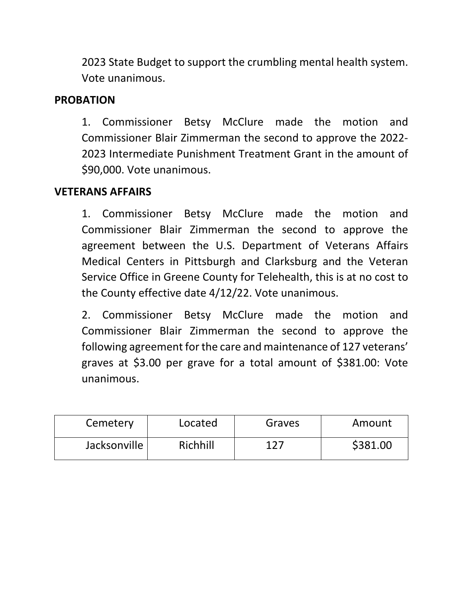2023 State Budget to support the crumbling mental health system. Vote unanimous.

# **PROBATION**

1. Commissioner Betsy McClure made the motion and Commissioner Blair Zimmerman the second to approve the 2022- 2023 Intermediate Punishment Treatment Grant in the amount of \$90,000. Vote unanimous.

## **VETERANS AFFAIRS**

1. Commissioner Betsy McClure made the motion and Commissioner Blair Zimmerman the second to approve the agreement between the U.S. Department of Veterans Affairs Medical Centers in Pittsburgh and Clarksburg and the Veteran Service Office in Greene County for Telehealth, this is at no cost to the County effective date 4/12/22. Vote unanimous.

2. Commissioner Betsy McClure made the motion and Commissioner Blair Zimmerman the second to approve the following agreement for the care and maintenance of 127 veterans' graves at \$3.00 per grave for a total amount of \$381.00: Vote unanimous.

| Cemetery     | Located  | Graves | Amount   |
|--------------|----------|--------|----------|
| Jacksonville | Richhill | 177    | \$381.00 |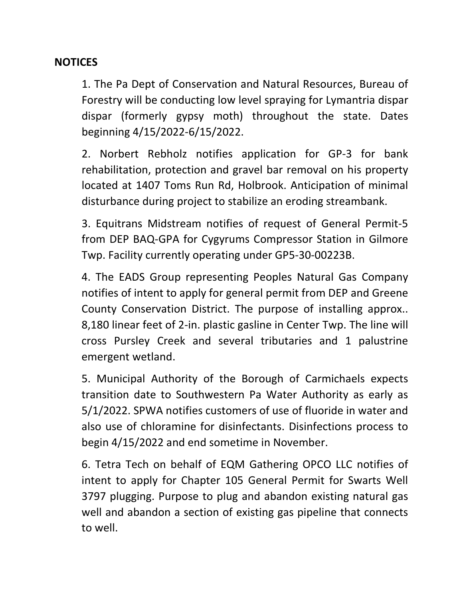## **NOTICES**

1. The Pa Dept of Conservation and Natural Resources, Bureau of Forestry will be conducting low level spraying for Lymantria dispar dispar (formerly gypsy moth) throughout the state. Dates beginning 4/15/2022-6/15/2022.

2. Norbert Rebholz notifies application for GP-3 for bank rehabilitation, protection and gravel bar removal on his property located at 1407 Toms Run Rd, Holbrook. Anticipation of minimal disturbance during project to stabilize an eroding streambank.

3. Equitrans Midstream notifies of request of General Permit-5 from DEP BAQ-GPA for Cygyrums Compressor Station in Gilmore Twp. Facility currently operating under GP5-30-00223B.

4. The EADS Group representing Peoples Natural Gas Company notifies of intent to apply for general permit from DEP and Greene County Conservation District. The purpose of installing approx.. 8,180 linear feet of 2-in. plastic gasline in Center Twp. The line will cross Pursley Creek and several tributaries and 1 palustrine emergent wetland.

5. Municipal Authority of the Borough of Carmichaels expects transition date to Southwestern Pa Water Authority as early as 5/1/2022. SPWA notifies customers of use of fluoride in water and also use of chloramine for disinfectants. Disinfections process to begin 4/15/2022 and end sometime in November.

6. Tetra Tech on behalf of EQM Gathering OPCO LLC notifies of intent to apply for Chapter 105 General Permit for Swarts Well 3797 plugging. Purpose to plug and abandon existing natural gas well and abandon a section of existing gas pipeline that connects to well.